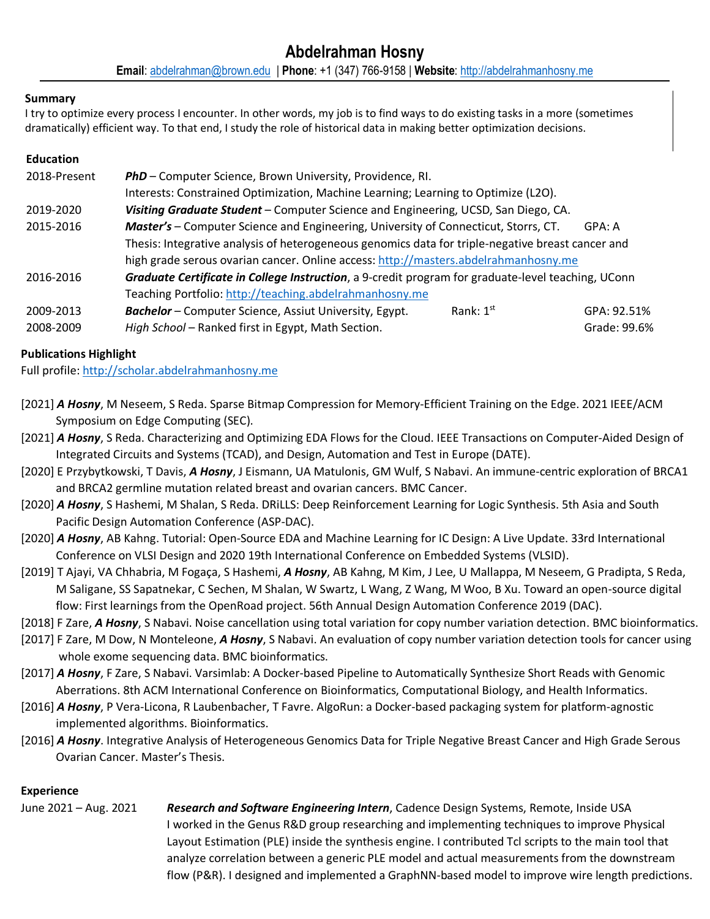# **Summary**

I try to optimize every process I encounter. In other words, my job is to find ways to do existing tasks in a more (sometimes dramatically) efficient way. To that end, I study the role of historical data in making better optimization decisions.

# **Education**

| 2018-Present | PhD - Computer Science, Brown University, Providence, RI.                                          |             |              |
|--------------|----------------------------------------------------------------------------------------------------|-------------|--------------|
|              | Interests: Constrained Optimization, Machine Learning; Learning to Optimize (L2O).                 |             |              |
| 2019-2020    | Visiting Graduate Student - Computer Science and Engineering, UCSD, San Diego, CA.                 |             |              |
| 2015-2016    | Master's - Computer Science and Engineering, University of Connecticut, Storrs, CT.                |             | GPA: A       |
|              | Thesis: Integrative analysis of heterogeneous genomics data for triple-negative breast cancer and  |             |              |
|              | high grade serous ovarian cancer. Online access: http://masters.abdelrahmanhosny.me                |             |              |
| 2016-2016    | Graduate Certificate in College Instruction, a 9-credit program for graduate-level teaching, UConn |             |              |
|              | Teaching Portfolio: http://teaching.abdelrahmanhosny.me                                            |             |              |
| 2009-2013    | <b>Bachelor</b> – Computer Science, Assiut University, Egypt.                                      | Rank: $1st$ | GPA: 92.51%  |
| 2008-2009    | High School - Ranked first in Egypt, Math Section.                                                 |             | Grade: 99.6% |

# **Publications Highlight**

Full profile: http://scholar.abdelrahmanhosny.me

- [2021] *A Hosny*, M Neseem, S Reda. Sparse Bitmap Compression for Memory-Efficient Training on the Edge. 2021 IEEE/ACM Symposium on Edge Computing (SEC).
- [2021] *A Hosny*, S Reda. Characterizing and Optimizing EDA Flows for the Cloud. IEEE Transactions on Computer-Aided Design of Integrated Circuits and Systems (TCAD), and Design, Automation and Test in Europe (DATE).
- [2020] E Przybytkowski, T Davis, *A Hosny*, J Eismann, UA Matulonis, GM Wulf, S Nabavi. An immune-centric exploration of BRCA1 and BRCA2 germline mutation related breast and ovarian cancers. BMC Cancer.
- [2020] *A Hosny*, S Hashemi, M Shalan, S Reda. DRiLLS: Deep Reinforcement Learning for Logic Synthesis. 5th Asia and South Pacific Design Automation Conference (ASP-DAC).
- [2020] *A Hosny*, AB Kahng. Tutorial: Open-Source EDA and Machine Learning for IC Design: A Live Update. 33rd International Conference on VLSI Design and 2020 19th International Conference on Embedded Systems (VLSID).
- [2019] T Ajayi, VA Chhabria, M Fogaça, S Hashemi, *A Hosny*, AB Kahng, M Kim, J Lee, U Mallappa, M Neseem, G Pradipta, S Reda, M Saligane, SS Sapatnekar, C Sechen, M Shalan, W Swartz, L Wang, Z Wang, M Woo, B Xu. Toward an open-source digital flow: First learnings from the OpenRoad project. 56th Annual Design Automation Conference 2019 (DAC).
- [2018] F Zare, *A Hosny*, S Nabavi. Noise cancellation using total variation for copy number variation detection. BMC bioinformatics.
- [2017] F Zare, M Dow, N Monteleone, *A Hosny*, S Nabavi. An evaluation of copy number variation detection tools for cancer using whole exome sequencing data. BMC bioinformatics.
- [2017] *A Hosny*, F Zare, S Nabavi. Varsimlab: A Docker-based Pipeline to Automatically Synthesize Short Reads with Genomic Aberrations. 8th ACM International Conference on Bioinformatics, Computational Biology, and Health Informatics.
- [2016] *A Hosny*, P Vera-Licona, R Laubenbacher, T Favre. AlgoRun: a Docker-based packaging system for platform-agnostic implemented algorithms. Bioinformatics.
- [2016] *A Hosny*. Integrative Analysis of Heterogeneous Genomics Data for Triple Negative Breast Cancer and High Grade Serous Ovarian Cancer. Master's Thesis.

#### **Experience**

June 2021 – Aug. 2021 *Research and Software Engineering Intern*, Cadence Design Systems, Remote, Inside USA I worked in the Genus R&D group researching and implementing techniques to improve Physical Layout Estimation (PLE) inside the synthesis engine. I contributed Tcl scripts to the main tool that analyze correlation between a generic PLE model and actual measurements from the downstream flow (P&R). I designed and implemented a GraphNN-based model to improve wire length predictions.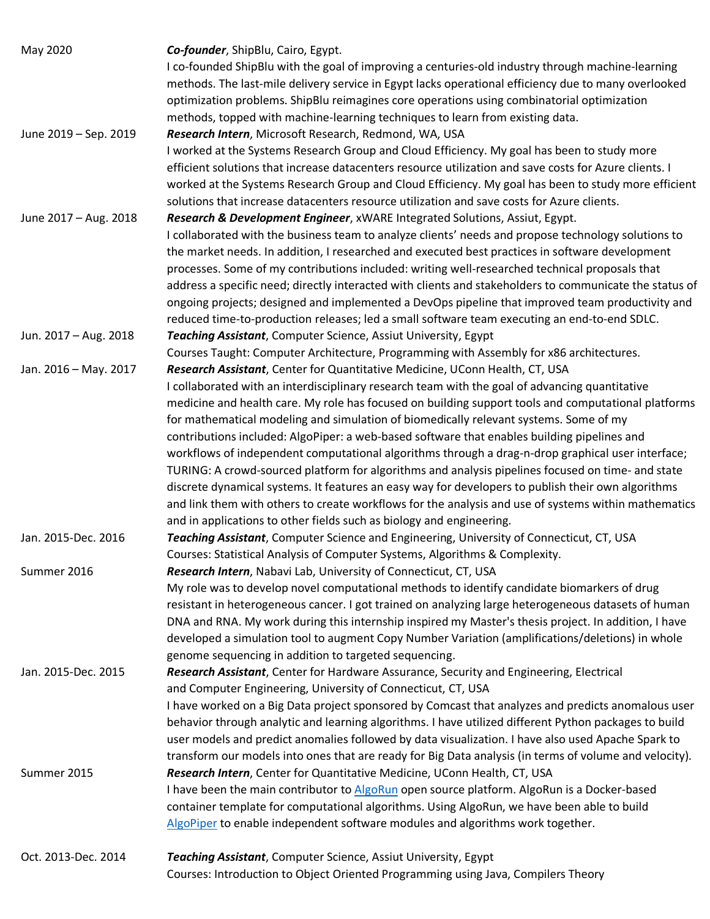| May 2020              | Co-founder, ShipBlu, Cairo, Egypt.                                                                                                     |
|-----------------------|----------------------------------------------------------------------------------------------------------------------------------------|
|                       | I co-founded ShipBlu with the goal of improving a centuries-old industry through machine-learning                                      |
|                       | methods. The last-mile delivery service in Egypt lacks operational efficiency due to many overlooked                                   |
|                       | optimization problems. ShipBlu reimagines core operations using combinatorial optimization                                             |
|                       |                                                                                                                                        |
| June 2019 - Sep. 2019 | methods, topped with machine-learning techniques to learn from existing data.<br>Research Intern, Microsoft Research, Redmond, WA, USA |
|                       | I worked at the Systems Research Group and Cloud Efficiency. My goal has been to study more                                            |
|                       | efficient solutions that increase datacenters resource utilization and save costs for Azure clients. I                                 |
|                       | worked at the Systems Research Group and Cloud Efficiency. My goal has been to study more efficient                                    |
|                       |                                                                                                                                        |
|                       | solutions that increase datacenters resource utilization and save costs for Azure clients.                                             |
| June 2017 - Aug. 2018 | Research & Development Engineer, xWARE Integrated Solutions, Assiut, Egypt.                                                            |
|                       | I collaborated with the business team to analyze clients' needs and propose technology solutions to                                    |
|                       | the market needs. In addition, I researched and executed best practices in software development                                        |
|                       | processes. Some of my contributions included: writing well-researched technical proposals that                                         |
|                       | address a specific need; directly interacted with clients and stakeholders to communicate the status of                                |
|                       | ongoing projects; designed and implemented a DevOps pipeline that improved team productivity and                                       |
|                       | reduced time-to-production releases; led a small software team executing an end-to-end SDLC.                                           |
| Jun. 2017 - Aug. 2018 | Teaching Assistant, Computer Science, Assiut University, Egypt                                                                         |
|                       | Courses Taught: Computer Architecture, Programming with Assembly for x86 architectures.                                                |
| Jan. 2016 - May. 2017 | Research Assistant, Center for Quantitative Medicine, UConn Health, CT, USA                                                            |
|                       | I collaborated with an interdisciplinary research team with the goal of advancing quantitative                                         |
|                       | medicine and health care. My role has focused on building support tools and computational platforms                                    |
|                       | for mathematical modeling and simulation of biomedically relevant systems. Some of my                                                  |
|                       | contributions included: AlgoPiper: a web-based software that enables building pipelines and                                            |
|                       | workflows of independent computational algorithms through a drag-n-drop graphical user interface;                                      |
|                       | TURING: A crowd-sourced platform for algorithms and analysis pipelines focused on time- and state                                      |
|                       | discrete dynamical systems. It features an easy way for developers to publish their own algorithms                                     |
|                       | and link them with others to create workflows for the analysis and use of systems within mathematics                                   |
|                       | and in applications to other fields such as biology and engineering.                                                                   |
| Jan. 2015-Dec. 2016   | Teaching Assistant, Computer Science and Engineering, University of Connecticut, CT, USA                                               |
|                       | Courses: Statistical Analysis of Computer Systems, Algorithms & Complexity.                                                            |
| Summer 2016           | Research Intern, Nabavi Lab, University of Connecticut, CT, USA                                                                        |
|                       | My role was to develop novel computational methods to identify candidate biomarkers of drug                                            |
|                       | resistant in heterogeneous cancer. I got trained on analyzing large heterogeneous datasets of human                                    |
|                       | DNA and RNA. My work during this internship inspired my Master's thesis project. In addition, I have                                   |
|                       | developed a simulation tool to augment Copy Number Variation (amplifications/deletions) in whole                                       |
|                       | genome sequencing in addition to targeted sequencing.                                                                                  |
| Jan. 2015-Dec. 2015   | Research Assistant, Center for Hardware Assurance, Security and Engineering, Electrical                                                |
|                       | and Computer Engineering, University of Connecticut, CT, USA                                                                           |
|                       | I have worked on a Big Data project sponsored by Comcast that analyzes and predicts anomalous user                                     |
|                       | behavior through analytic and learning algorithms. I have utilized different Python packages to build                                  |
|                       |                                                                                                                                        |
|                       | user models and predict anomalies followed by data visualization. I have also used Apache Spark to                                     |
|                       | transform our models into ones that are ready for Big Data analysis (in terms of volume and velocity).                                 |
| Summer 2015           | Research Intern, Center for Quantitative Medicine, UConn Health, CT, USA                                                               |
|                       | I have been the main contributor to AlgoRun open source platform. AlgoRun is a Docker-based                                            |
|                       | container template for computational algorithms. Using AlgoRun, we have been able to build                                             |
|                       | AlgoPiper to enable independent software modules and algorithms work together.                                                         |
| Oct. 2013-Dec. 2014   | Teaching Assistant, Computer Science, Assiut University, Egypt                                                                         |
|                       | Courses: Introduction to Object Oriented Programming using Java, Compilers Theory                                                      |
|                       |                                                                                                                                        |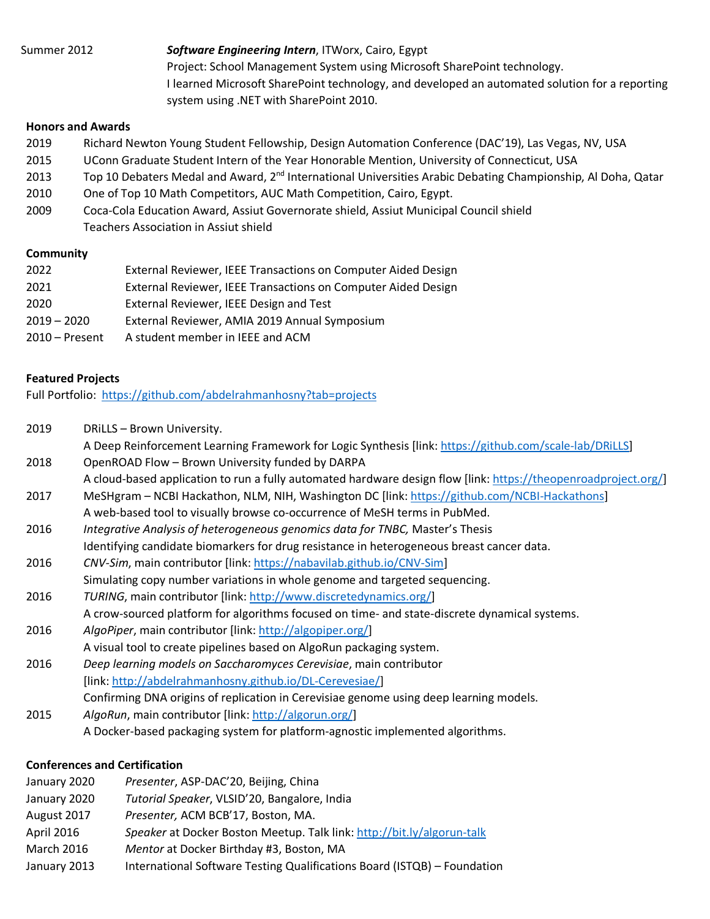# Summer 2012 *Software Engineering Intern*, ITWorx, Cairo, Egypt

Project: School Management System using Microsoft SharePoint technology. I learned Microsoft SharePoint technology, and developed an automated solution for a reporting system using .NET with SharePoint 2010.

#### **Honors and Awards**

- 2019 Richard Newton Young Student Fellowship, Design Automation Conference (DAC'19), Las Vegas, NV, USA
- 2015 UConn Graduate Student Intern of the Year Honorable Mention, University of Connecticut, USA
- 2013 Top 10 Debaters Medal and Award, 2<sup>nd</sup> International Universities Arabic Debating Championship, Al Doha, Qatar
- 2010 One of Top 10 Math Competitors, AUC Math Competition, Cairo, Egypt.
- 2009 Coca-Cola Education Award, Assiut Governorate shield, Assiut Municipal Council shield Teachers Association in Assiut shield

#### **Community**

| 2022             | External Reviewer, IEEE Transactions on Computer Aided Design |
|------------------|---------------------------------------------------------------|
| 2021             | External Reviewer, IEEE Transactions on Computer Aided Design |
| 2020             | External Reviewer, IEEE Design and Test                       |
| $2019 - 2020$    | External Reviewer, AMIA 2019 Annual Symposium                 |
| $2010 -$ Present | A student member in IEEE and ACM                              |

#### **Featured Projects**

Full Portfolio: https://github.com/abdelrahmanhosny?tab=projects

- 2019 DRiLLS Brown University.
	- A Deep Reinforcement Learning Framework for Logic Synthesis [link: https://github.com/scale-lab/DRiLLS]
- 2018 OpenROAD Flow Brown University funded by DARPA A cloud-based application to run a fully automated hardware design flow [link: https://theopenroadproject.org/]
- 2017 MeSHgram NCBI Hackathon, NLM, NIH, Washington DC [link: https://github.com/NCBI-Hackathons] A web-based tool to visually browse co-occurrence of MeSH terms in PubMed.
- 2016 *Integrative Analysis of heterogeneous genomics data for TNBC,* Master's Thesis
- Identifying candidate biomarkers for drug resistance in heterogeneous breast cancer data.
- 2016 *CNV-Sim*, main contributor [link: https://nabavilab.github.io/CNV-Sim] Simulating copy number variations in whole genome and targeted sequencing.
- 2016 *TURING*, main contributor [link: http://www.discretedynamics.org/] A crow-sourced platform for algorithms focused on time- and state-discrete dynamical systems.
- 2016 *AlgoPiper*, main contributor [link: http://algopiper.org/] A visual tool to create pipelines based on AlgoRun packaging system.
- 2016 *Deep learning models on Saccharomyces Cerevisiae*, main contributor [link: http://abdelrahmanhosny.github.io/DL-Cerevesiae/]
	- Confirming DNA origins of replication in Cerevisiae genome using deep learning models.
- 2015 *AlgoRun*, main contributor [link: http://algorun.org/] A Docker-based packaging system for platform-agnostic implemented algorithms.

## **Conferences and Certification**

| January 2020      | Presenter, ASP-DAC'20, Beijing, China                                    |
|-------------------|--------------------------------------------------------------------------|
| January 2020      | Tutorial Speaker, VLSID'20, Bangalore, India                             |
| August 2017       | Presenter, ACM BCB'17, Boston, MA.                                       |
| April 2016        | Speaker at Docker Boston Meetup. Talk link: http://bit.ly/algorun-talk   |
| <b>March 2016</b> | Mentor at Docker Birthday #3, Boston, MA                                 |
| January 2013      | International Software Testing Qualifications Board (ISTQB) - Foundation |
|                   |                                                                          |